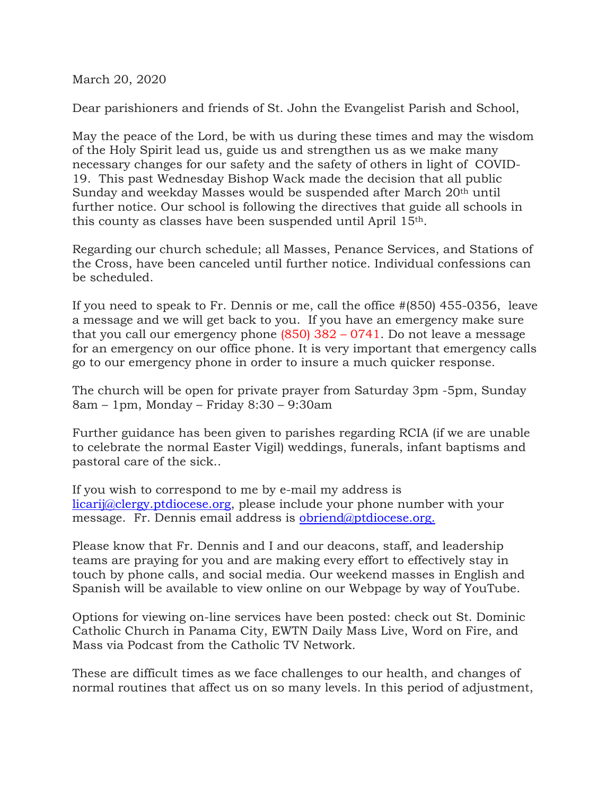March 20, 2020

Dear parishioners and friends of St. John the Evangelist Parish and School,

May the peace of the Lord, be with us during these times and may the wisdom of the Holy Spirit lead us, guide us and strengthen us as we make many necessary changes for our safety and the safety of others in light of COVID-19. This past Wednesday Bishop Wack made the decision that all public Sunday and weekday Masses would be suspended after March 20th until further notice. Our school is following the directives that guide all schools in this county as classes have been suspended until April 15th.

Regarding our church schedule; all Masses, Penance Services, and Stations of the Cross, have been canceled until further notice. Individual confessions can be scheduled.

If you need to speak to Fr. Dennis or me, call the office #(850) 455-0356, leave a message and we will get back to you. If you have an emergency make sure that you call our emergency phone (850) 382 – 0741. Do not leave a message for an emergency on our office phone. It is very important that emergency calls go to our emergency phone in order to insure a much quicker response.

The church will be open for private prayer from Saturday 3pm -5pm, Sunday 8am – 1pm, Monday – Friday 8:30 – 9:30am

Further guidance has been given to parishes regarding RCIA (if we are unable to celebrate the normal Easter Vigil) weddings, funerals, infant baptisms and pastoral care of the sick..

If you wish to correspond to me by e-mail my address is licarij@clergy.ptdiocese.org, please include your phone number with your message. Fr. Dennis email address is obriend@ptdiocese.org.

Please know that Fr. Dennis and I and our deacons, staff, and leadership teams are praying for you and are making every effort to effectively stay in touch by phone calls, and social media. Our weekend masses in English and Spanish will be available to view online on our Webpage by way of YouTube.

Options for viewing on-line services have been posted: check out St. Dominic Catholic Church in Panama City, EWTN Daily Mass Live, Word on Fire, and Mass via Podcast from the Catholic TV Network.

These are difficult times as we face challenges to our health, and changes of normal routines that affect us on so many levels. In this period of adjustment,